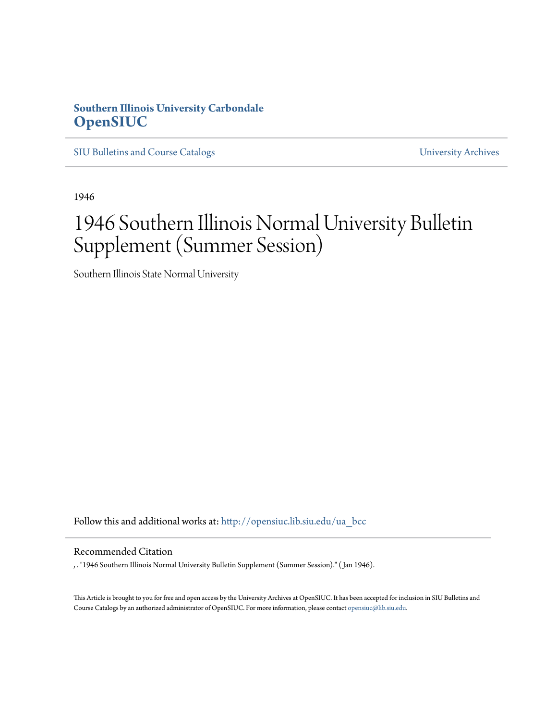## **Southern Illinois University Carbondale [OpenSIUC](http://opensiuc.lib.siu.edu?utm_source=opensiuc.lib.siu.edu%2Fua_bcc%2F74&utm_medium=PDF&utm_campaign=PDFCoverPages)**

[SIU Bulletins and Course Catalogs](http://opensiuc.lib.siu.edu/ua_bcc?utm_source=opensiuc.lib.siu.edu%2Fua_bcc%2F74&utm_medium=PDF&utm_campaign=PDFCoverPages) **[University Archives](http://opensiuc.lib.siu.edu/ua?utm_source=opensiuc.lib.siu.edu%2Fua_bcc%2F74&utm_medium=PDF&utm_campaign=PDFCoverPages)** University Archives

1946

## 1946 Southern Illinois Normal University Bulletin Supplement (Summer Session)

Southern Illinois State Normal University

Follow this and additional works at: [http://opensiuc.lib.siu.edu/ua\\_bcc](http://opensiuc.lib.siu.edu/ua_bcc?utm_source=opensiuc.lib.siu.edu%2Fua_bcc%2F74&utm_medium=PDF&utm_campaign=PDFCoverPages)

#### Recommended Citation

, . "1946 Southern Illinois Normal University Bulletin Supplement (Summer Session)." ( Jan 1946).

This Article is brought to you for free and open access by the University Archives at OpenSIUC. It has been accepted for inclusion in SIU Bulletins and Course Catalogs by an authorized administrator of OpenSIUC. For more information, please contact [opensiuc@lib.siu.edu](mailto:opensiuc@lib.siu.edu).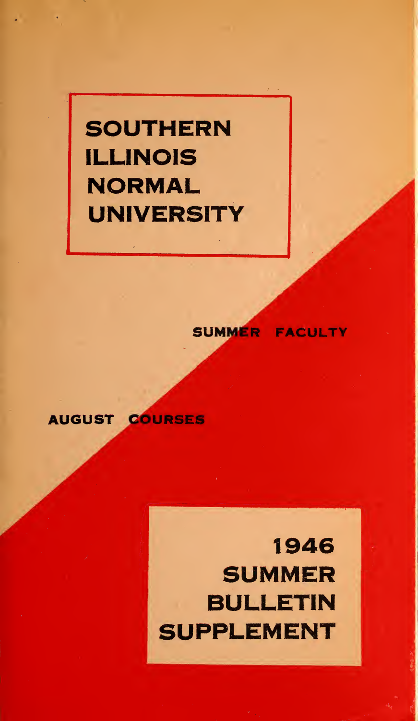# **SOUTHERN** ILLINOIS NORMAL UNIVERSITY

## SUMMER FACULTY



# 1946 SUMMER BULLETIN SUPPLEMENT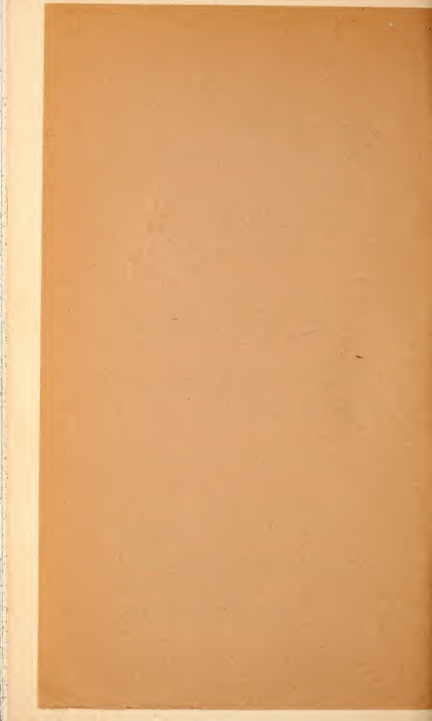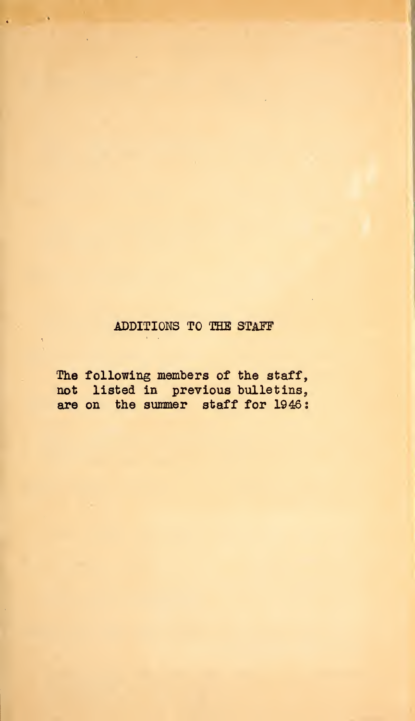## ADDITIONS TO THE STAFF

The following members of the staff, not listed in previous bulletins, are on the summer staff for 1946:

Ä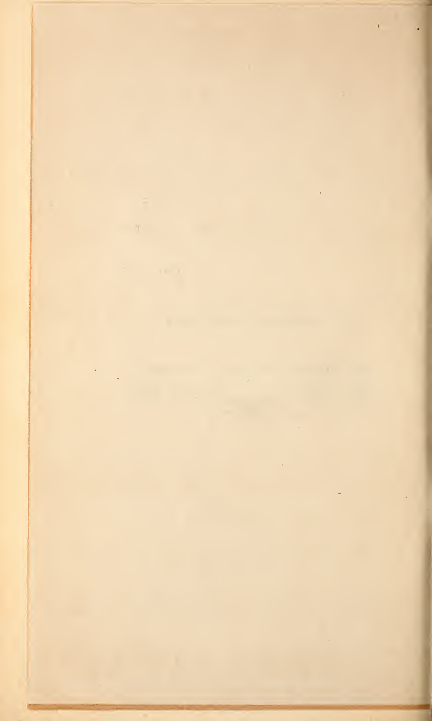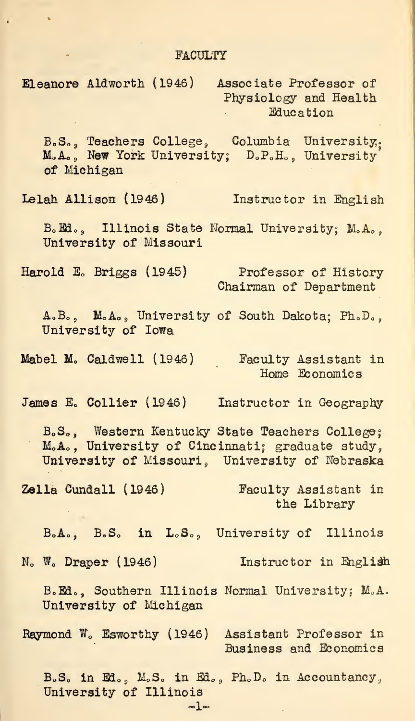#### FACULTY

Eleanore Aldworth (1946) Associate Professor of Physiology and Health Education B.S., Teachers College, Columbia University. M.A., New York University; D.P.H., University of Michigan Lelah Allison (1946) Instructor in English  $B_0$ Ed., Illinois State Normal University; M.A., University of Missouri Harold E. Briggs (1945) Professor of History Chairman of Department A.B., M.A., University of South Dakota; Ph.D., University of Iowa Mabel M. Caldwell (1946) Faculty Assistant in Home Economies James E. Collier (1946) Instructor in Geography B.S., Western Kentucky State Teachers College; MoAo, University of Cincinnati; graduate study, University of Missouri, University of Nebraska Zella Cundall (1946) Faculty Assistant in the Library  $B_0A_0$ ,  $B_0S_0$  in  $L_0S_0$ , University of Illinois N. W. Draper (1946) Instructor in English BcEdo, Southern Illinois Normal University: MoA. University of Michigan Raymond W. Esworthy (1946) Assistant Professor in Business and Economics  $B_oS_o$  in  $Bd_o$ ,  $M_oS_o$  in  $Ed_o$ ,  $Ph_oD_o$  in Accountancy, University of Illinois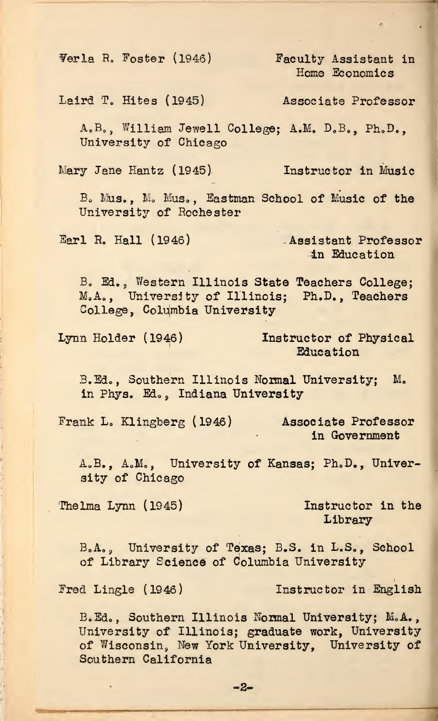¥erla R. Foster (1946) Faculty Assistant in Homo Economics Laird T. Hites (1945) Associate Professor A.B., William Jewell College; A.M. D.B., Ph.D., University of Chicago Mary Jane Hantz (1945) **Instructor in Music** Eo Mus. , Mo Mus, , Eastman School of Music of the University of Rochester Earl R. Hall (1946) - Assistant Professor in Education B. Ed., Western Illinois State Teachers College; M.A., University of Illinois; Ph.D., Teachers College, Columbia University Lynn Holder (1946) Instructor of Physical Education B.Ed., Southern Illinois Normal University; M. in Phys. Ed., Indiana University Frank L. Klingberg (1946) Associate Professor in Government AuB. , AoMo, University of Kansas; Ph.D., University of Chicago Thelma Lynn (1945) Instructor in the Library BoAo, University of Texas; B.S. in L.S., School of Library Science of Columbia University Fred Lingle (1946) Instructor in English B.Ed., Southern Illinois Normal University; M.A., University of Illinois; graduate work, University of Wisconsin, New York University, University of Southern California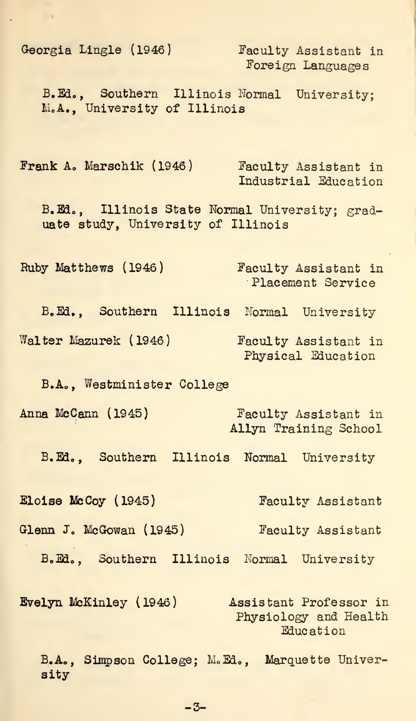Georgia Lingle (1946) Faculty Assistant in Foreign Languages B.Ed., Southern Illinois Normal University: M.A., University of Illinois Frank A. Marschik (1946) Faculty Assistant in Industrial Education B.Ed., Illinois State Normal University; graduate study, University of Illinois Ruby Matthews (1946) Faculty Assistant in Placement Service B.Ed., Southern Illinois Normal University Walter Mazurek (1946) Faculty Assistant in Physical Education B.A», Westminister College Anna MeCann (1945) Faculty Assistant in Allyn Training School B.Ed., Southern Illinois Normal University Eloise McCoy (1945) Faculty Assistant Glenn J. McGowan (1945) Faculty Assistant B.Ed., Southern Illinois Normal University Evelyn McKinley (1946) Assistant Professor in Physiology and Health Education B.A., Simpson College; M.Ed., Marquette University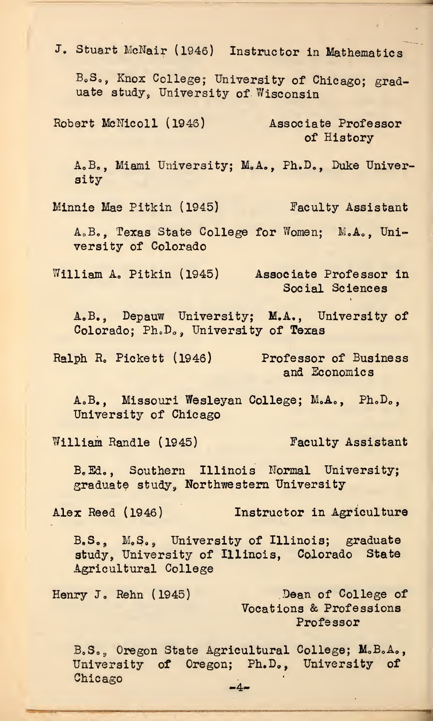J. Stuart McNair (1946) Instructor in Mathematics B.S., Knox College; University of Chicago; graduate study, University of Wisconsin Robert McNicoll (1946) Associate Professor of History A.B., Miami University; M.A., Ph.D., Duke University Minnie Mae Pitkin (1945) Faculty Assistant A.B., Texas State College for Women; M.A., University of Colorado William A. Pitkin (1945) Associate Professor in Social Sciences A.B., Depauw University; M.A., University of Colorado; Ph.D., University of Texas Ralph R. Pickett (1946) Professor of Business and Economics A.B., Missouri Wesleyan College; M.A., Ph.D., University of Chicago William Randle (1945) Faculty Assistant B.Ed., Southern Illinois Normal University; graduate study, Northwestern University Alex Reed (1946) Instructor in Agriculture B.S., M.S., University of Illinois; graduate study, University of Illinois, Colorado State Agricultural College Henry J. Rehn (1945) Dean of College of Vocations & Professions Professor B.S., Oregon State Agricultural College; M.B.A., University of Oregon; Ph.D., University of

 $-4-$ 

^

Chicago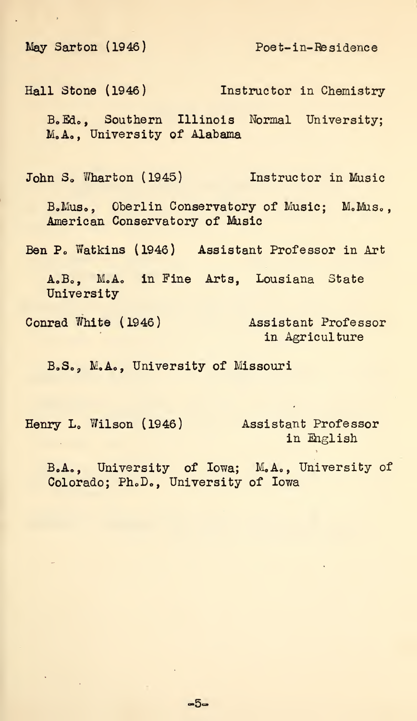May Sarton (1946) Poet-in-Residence

Hall Stone (1946) Instructor in Chemistry

B.Ed., Southern Illinois Normal University; M.A., University of Alabama

John S. Wharton (1945) **Instructor in Music** 

B. Mus., Oberlin Conservatory of Music; M. Mus., American Conservatory of Music

Ben P. Watkins (1946) Assistant Professor in Art

A.B., M.A. in Fine Arts, Lousiana State University

Conrad White (1946) Assistant Professor

in Agriculture

B.S., M.A., University of Missouri

Henry L. Wilson (1946) Assistant Professor in English

B.A., University of Iowa; M.A., University of Colorado; Ph.D., University of Iowa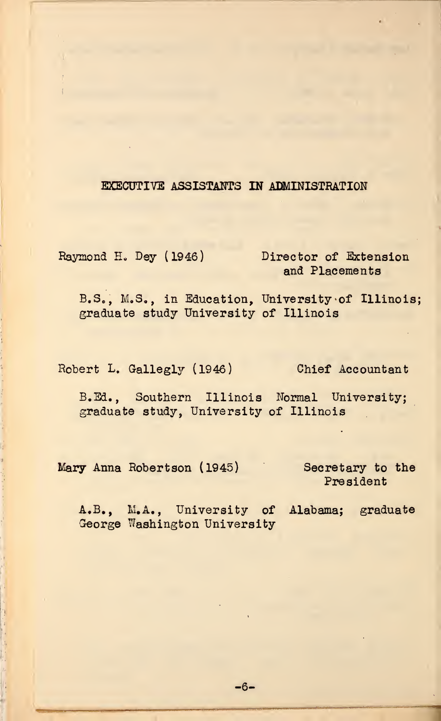### EXECUTIVE ASSISTANTS IN ADMINISTRATION

Raymond H. Dey (1946) Director of Extension and Placements

B.S., M.S., in Education, University of Illinois; graduate study University of Illinois

Robert L. Gallegly (1946) Chief Accountant

B.Ed., Southern Illinois Normal University; graduate study, University of Illinois

Mary Anna Robertson (1945) Secretary to the

—>

President

A.B., M.A. , University of Alabama; graduate George Washington University

-6-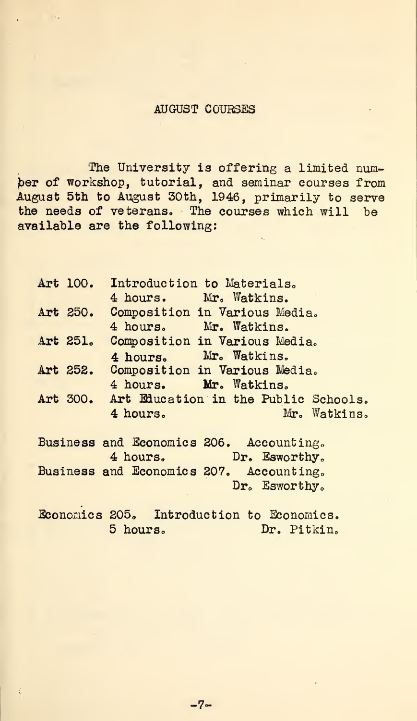### AUGUST COURSES

The University is offering a limited number of workshop, tutorial, and seminar courses from August 5th to August 30th, 1946, primarily to serve the needs of veterans. The courses which will be available are the following:

|                                           | Art 100. | Introduction to Materials.                    |  |  |  |  |  |  |  |
|-------------------------------------------|----------|-----------------------------------------------|--|--|--|--|--|--|--|
|                                           |          | 4 hours. Mr. Watkins.                         |  |  |  |  |  |  |  |
|                                           |          | Art 250. Composition in Various Media.        |  |  |  |  |  |  |  |
|                                           |          | 4 hours. Mr. Watkins.                         |  |  |  |  |  |  |  |
|                                           |          | Art 251. Composition in Various Media.        |  |  |  |  |  |  |  |
|                                           |          | 4 hours. Mr. Watkins.                         |  |  |  |  |  |  |  |
|                                           |          | Art 252. Composition in Various Media.        |  |  |  |  |  |  |  |
|                                           |          | 4 hours. Mr. Watkins.                         |  |  |  |  |  |  |  |
|                                           |          | Art 300. Art Education in the Public Schools. |  |  |  |  |  |  |  |
|                                           |          | Mr. Watkins.<br>4 hours.                      |  |  |  |  |  |  |  |
| Business and Economics 206. Accounting.   |          |                                               |  |  |  |  |  |  |  |
| 4 hours. Dr. Esworthy.                    |          |                                               |  |  |  |  |  |  |  |
| Business and Economics 207. Accounting.   |          |                                               |  |  |  |  |  |  |  |
| Dr. Esworthy.                             |          |                                               |  |  |  |  |  |  |  |
|                                           |          |                                               |  |  |  |  |  |  |  |
| Economics 205. Introduction to Economics. |          |                                               |  |  |  |  |  |  |  |

5 hours. Dr. Pitkin.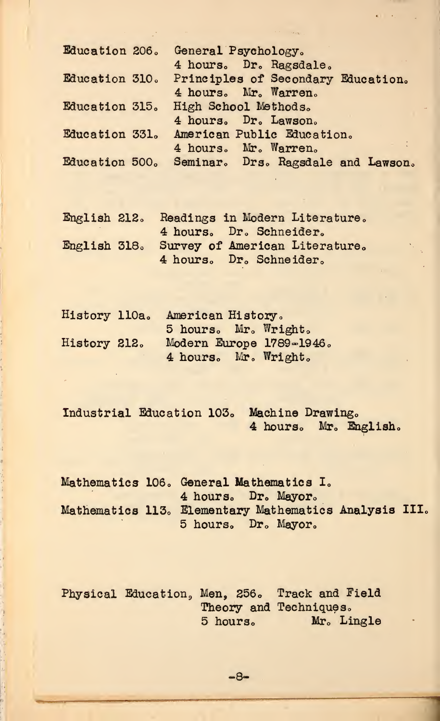Education 206. General Psychology. 4 hours. Dr. Ragsdale. Education 310. Principles of Secondary Education. 4 hours. Mr. Warren. High School Methods. 4 hours. Dr. Lawson. American Public Education. 4 hours. Mr. Warren. Education 500. Seminar. Drs. Ragsdale and Lawson. Education 315 Education 331

English 212. Readings in Modern Literature. 4 hours. Dr. Schneider. English 318. Survey of American Literature. 4 hours. Dr. Schneider.

| History 110a. | American History.        |
|---------------|--------------------------|
|               | 5 hours. Mr. Wright.     |
| History 212.  | Modern Europe 1789-1946. |
|               | 4 hours. Mr. Wright.     |

Industrial Education 103. Machine Drawing. 4 hours. Mr. English.

Mathematics 106. General Mathematics I. 4 hours. Dr. Mayor. Mathematics 113o Elementary Mathematics Analysis III, 5 hours. Dr. Mayor.

Physical Education, Men, 256. Track and Field Theory and Techniques. 5 hours. Mr. Lingle

—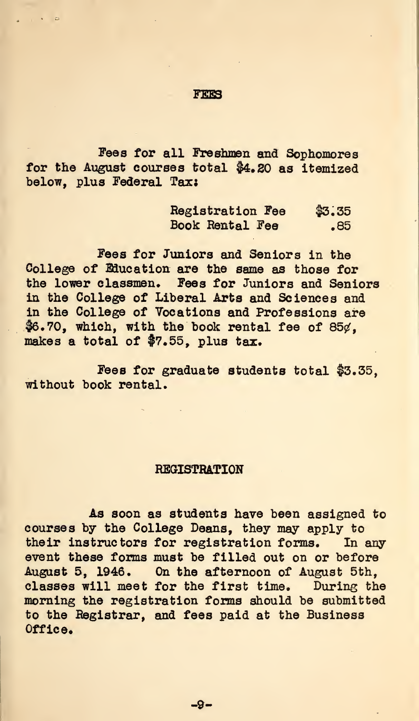#### **FEES**

Pees for all Freshmen and Sophomores for the August courses total \$4.20 as itemized below, plus Federal Tax;

| Registration Fee | \$3.35        |
|------------------|---------------|
| Book Rental Fee  | $.85^{\circ}$ |

Fees for Juniors and Seniors in the College of Education are the same as those for the lower classmen. Fees for Juniors and Seniors in the College of Liberal Arts and Sciences and in the College of Vocations and Professions are  $$6.70$ , which, with the book rental fee of 85 $\sigma$ . makes a total of \$7.55, plus tax.

Fees for graduate students total \$3.35. without book rental.

#### **REGISTRATION**

As soon as students have been assigned to courses by the College Deans, they may apply to their instructors for registration forms. In any event these forms must be filled out on or before August 5, 1946. On the afternoon of August 5th, classes will meet for the first time. During the morning the registration forms should be submitted to the Registrar, and fees paid at the Business Office.

-3-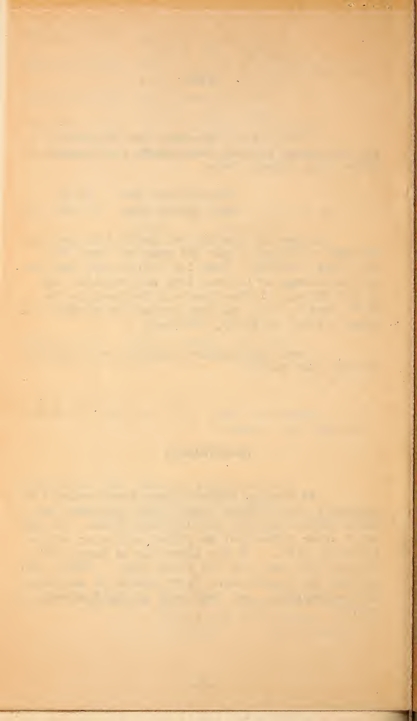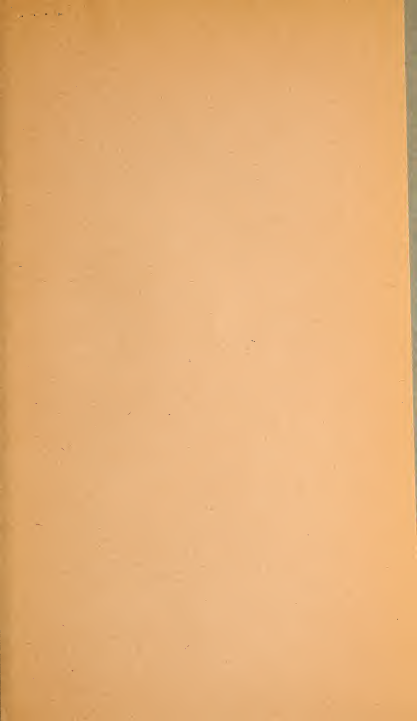